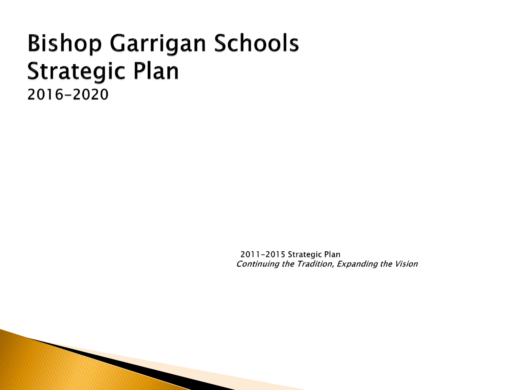# **Bishop Garrigan Schools Strategic Plan** 2016-2020

2011-2015 Strategic Plan Continuing the Tradition, Expanding the Vision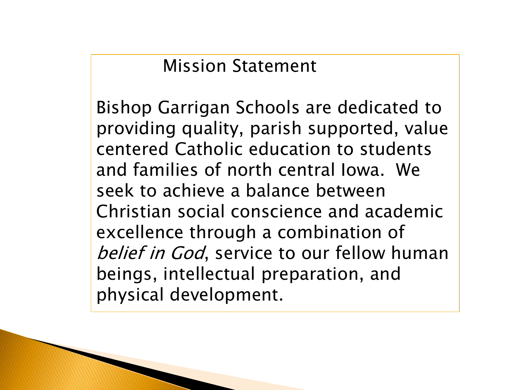Mission Statement

Bishop Garrigan Schools are dedicated to providing quality, parish supported, value centered Catholic education to students and families of north central Iowa. We seek to achieve a balance between Christian social conscience and academic excellence through a combination of belief in God, service to our fellow human beings, intellectual preparation, and physical development.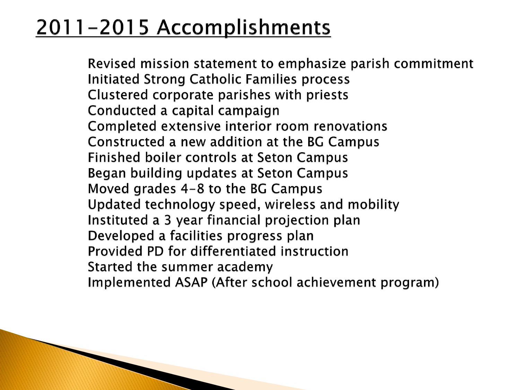# 2011-2015 Accomplishments

Revised mission statement to emphasize parish commitment **Initiated Strong Catholic Families process** Clustered corporate parishes with priests Conducted a capital campaign Completed extensive interior room renovations Constructed a new addition at the BG Campus Finished boiler controls at Seton Campus Began building updates at Seton Campus Moved grades 4-8 to the BG Campus Updated technology speed, wireless and mobility Instituted a 3 year financial projection plan Developed a facilities progress plan Provided PD for differentiated instruction Started the summer academy Implemented ASAP (After school achievement program)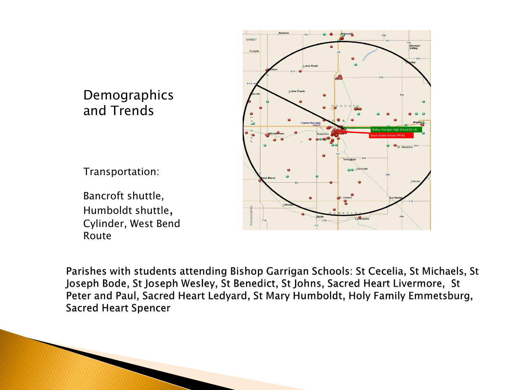#### Demographics and Trends

Transportation:

Bancroft shuttle, Humboldt shuttle, Cylinder, West Bend Route



Parishes with students attending Bishop Garrigan Schools: St Cecelia, St Michaels, St Joseph Bode, St Joseph Wesley, St Benedict, St Johns, Sacred Heart Livermore, St Peter and Paul, Sacred Heart Ledyard, St Mary Humboldt, Holy Family Emmetsburg, **Sacred Heart Spencer**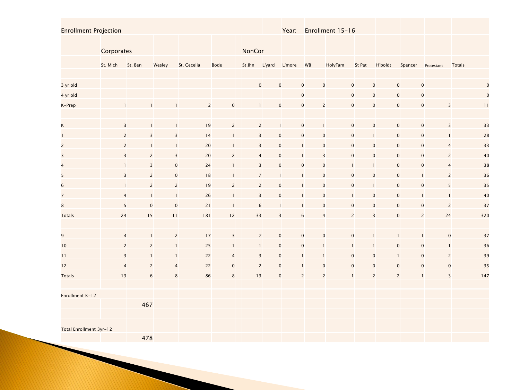Enrollment Projection The Communication Communication Communication Communication Communication Near: Enrollment 15-16

|                         | Corporates |                         |                         |                               |                             | NonCor |                                |                |                |                |                                |                            |                                |                         |             |
|-------------------------|------------|-------------------------|-------------------------|-------------------------------|-----------------------------|--------|--------------------------------|----------------|----------------|----------------|--------------------------------|----------------------------|--------------------------------|-------------------------|-------------|
|                         | St. Mich   | St. Ben                 | Wesley                  | St. Cecelia                   | Bode                        | St Jhn | L'yard                         | L'more         | WB             | HolyFam        | St Pat                         | <b>H'boldt</b>             | Spencer                        | Protestant              | Totals      |
|                         |            |                         |                         |                               |                             |        |                                |                |                |                |                                |                            |                                |                         |             |
| 3 yr old                |            |                         |                         |                               |                             |        | $\mathbf{0}$<br>$\mathbf 0$    |                | $\mathbf 0$    | $\pmb{0}$      | $\pmb{0}$                      | $\mathbf 0$                | $\mathbf 0$<br>$\mathbf 0$     |                         | $\mathbf 0$ |
| 4 yr old                |            |                         |                         |                               |                             |        |                                |                | $\mathbf 0$    |                | $\mathbf 0$                    | $\mathbf 0$                | $\pmb{0}$<br>$\mathbf 0$       |                         | $\mathbf 0$ |
| K-Prep                  |            |                         | $\mathbf{1}$            | $\mathbf{1}$                  | $\overline{c}$<br>$\pmb{0}$ |        | $\overline{0}$<br>$\mathbf{1}$ |                | $\pmb{0}$      | $\overline{2}$ | $\pmb{0}$                      | $\mathbf 0$                | $\overline{0}$<br>$\mathbf{0}$ | $\overline{\mathbf{3}}$ | 11          |
|                         |            |                         |                         |                               |                             |        |                                |                |                |                |                                |                            |                                |                         |             |
| K                       |            | $\overline{\mathbf{3}}$ | $\mathbf{1}$            | 19<br>$\mathbf{1}$            | $\mathbf{2}$                |        | $\overline{c}$                 | $\mathbf{1}$   | $\pmb{0}$      | $\mathbf{1}$   | $\mathbf 0$                    | $\mathbf{O}$               | $\mathbf{O}$<br>$\mathbf 0$    | $\overline{\mathbf{3}}$ | 33          |
| $\mathbf{1}$            |            | $\overline{2}$          | $\overline{\mathbf{3}}$ | 14<br>$\mathsf 3$             | $\mathbf{1}$                |        | 3                              | $\pmb{0}$      | $\pmb{0}$      | $\mathbf 0$    | $\mathbf 0$<br>$\mathbf{1}$    |                            | $\pmb{0}$<br>$\mathbf{O}$      | $\mathbf{1}$            | 28          |
| $\overline{2}$          |            | $\overline{2}$          | $\mathbf{1}$            | 20<br>$\mathbf{1}$            | $\mathbf{1}$                |        | $\overline{3}$                 | $\pmb{0}$      | $\mathbf{1}$   | $\mathbf 0$    | $\mathbf 0$                    | $\mathbf 0$                | $\pmb{0}$<br>$\mathbf 0$       | $\overline{4}$          | 33          |
| $\overline{\mathbf{3}}$ |            | $\overline{\mathbf{3}}$ | $\overline{2}$          | 20<br>$\overline{\mathbf{3}}$ | $\overline{2}$              |        | $\overline{4}$                 | $\pmb{0}$      | $\mathbf{1}$   | $\overline{3}$ | $\mathbf 0$                    | $\overline{0}$             | $\mathbf 0$<br>$\mathbf 0$     | $\overline{c}$          | 40          |
| $\overline{\mathbf{4}}$ |            | $\mathbf{1}$            | $\overline{\mathbf{3}}$ | 24<br>$\pmb{0}$               | $\mathbf{1}$                |        | $\overline{\mathbf{3}}$        | $\pmb{0}$      | $\mathbf 0$    | $\mathbf 0$    | $\mathbf{1}$<br>$\mathbf{1}$   |                            | $\mathbf 0$<br>$\mathbf 0$     | $\overline{\mathbf{4}}$ | 38          |
| 5                       |            | $\overline{\mathbf{3}}$ | $\overline{c}$          | $\pmb{0}$<br>18               | $\mathbf{1}$                |        | $\overline{7}$<br>$\mathbf{1}$ |                | $\mathbf{1}$   | $\mathbf 0$    | $\mathbf 0$                    | $\pmb{0}$                  | $\pmb{0}$                      | $\overline{c}$          | 36          |
| $6\overline{6}$         |            | $\mathbf{1}$            | $\overline{c}$          | 19<br>$\overline{c}$          | $\overline{c}$              |        | $\overline{c}$                 | $\mathbf 0$    | $\mathbf{1}$   | $\mathbf{0}$   | $\mathbf{0}$<br>$\overline{1}$ |                            | $\mathbf 0$<br>$\mathbf{O}$    | 5                       | 35          |
| $\overline{7}$          |            | $\overline{4}$          | $\mathbf{1}$            | 26<br>$\mathbf{1}$            | $\mathbf{1}$                |        | $\overline{3}$                 | $\mathbf 0$    | $\mathbf{1}$   | $\mathbf{0}$   | $\mathbf{1}$                   | $\mathbf 0$                | $\mathbf 0$<br>$\mathbf{1}$    | $\mathbf{1}$            | 40          |
| $\bf{8}$                |            | $5\overline{)}$         | $\mathbf 0$             | 21<br>$\bf 0$                 | $\overline{1}$              |        | 6                              | $\mathbf{1}$   | $\mathbf{1}$   | $\mathbf 0$    | $\pmb{0}$                      | $\overline{0}$             | $\mathbf 0$<br>$\mathbf 0$     | $\overline{2}$          | 37          |
| <b>Totals</b>           | 24         |                         | 15<br>11                | 181                           | $12$                        | 33     |                                | $\mathsf 3$    | $\sqrt{6}$     | $\overline{4}$ | $\overline{c}$                 | $\overline{\mathbf{3}}$    | $\overline{2}$<br>$\mathbf 0$  | 24                      | 320         |
|                         |            |                         |                         |                               |                             |        |                                |                |                |                |                                |                            |                                |                         |             |
| 9                       |            | $\overline{4}$          | $\mathbf{1}$            | 17<br>$\overline{2}$          | $\overline{\mathsf{3}}$     |        | $\overline{7}$                 | $\pmb{0}$      | $\mathbf{O}$   | $\mathbf 0$    | $\mathbf 0$                    |                            | $\mathbf{1}$                   | $\pmb{0}$               | 37          |
| 10                      |            | $\overline{2}$          | $\overline{c}$          | 25<br>$\mathbf{1}$            | $\mathbf{1}$                |        | $\mathbf{1}$                   | $\pmb{0}$      | $\pmb{0}$      |                | 1                              | $\mathbf 0$                | $\mathbf 0$                    | $\mathbf{1}$            | 36          |
| 11                      |            | $\overline{\mathbf{3}}$ | $\mathbf{1}$            | 22<br>$\mathbf{1}$            | $\overline{a}$              |        | 3                              | $\pmb{0}$      | $\mathbf{1}$   |                | $\pmb{0}$                      | $\pmb{0}$<br>$\mathbf{1}$  | $\mathbf{O}$                   | $\overline{c}$          | 39          |
| 12                      |            | $\overline{4}$          | $\overline{c}$          | 22<br>$\overline{4}$          | $\mathbf 0$                 |        | $\overline{c}$                 | $\mathbf 0$    | $\mathbf{1}$   | $\mathbf 0$    | $\mathbf 0$                    | $\mathbf 0$<br>$\mathbf 0$ | $\mathbf 0$                    | $\pmb{0}$               | 35          |
| <b>Totals</b>           | 13         |                         | $6\phantom{.}6$         | 86<br>$\bf 8$                 | 8                           | 13     |                                | $\overline{0}$ | $\overline{2}$ | $\overline{2}$ | $\mathbf{1}$                   | $\overline{c}$             | $\overline{2}$                 | $\overline{\mathbf{3}}$ | 147         |
|                         |            |                         |                         |                               |                             |        |                                |                |                |                |                                |                            |                                |                         |             |
| Enrollment K-12         |            |                         |                         |                               |                             |        |                                |                |                |                |                                |                            |                                |                         |             |
|                         |            | 467                     |                         |                               |                             |        |                                |                |                |                |                                |                            |                                |                         |             |
|                         |            |                         |                         |                               |                             |        |                                |                |                |                |                                |                            |                                |                         |             |
| Total Enrollment 3yr-12 |            |                         |                         |                               |                             |        |                                |                |                |                |                                |                            |                                |                         |             |
|                         |            | 478                     |                         |                               |                             |        |                                |                |                |                |                                |                            |                                |                         |             |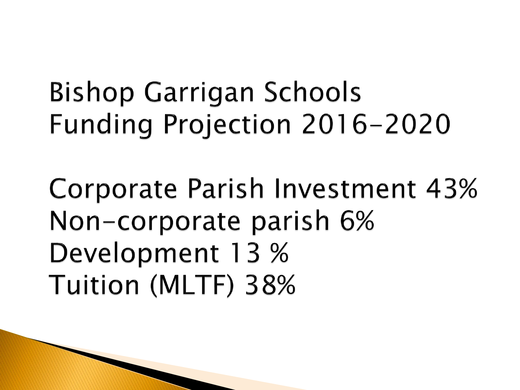**Bishop Garrigan Schools** Funding Projection 2016-2020

Corporate Parish Investment 43% Non-corporate parish 6% Development 13 % Tuition (MLTF) 38%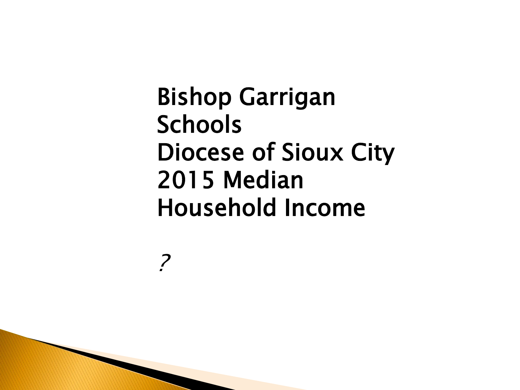Bishop Garrigan Schools Diocese of Sioux City 2015 Median Household Income

?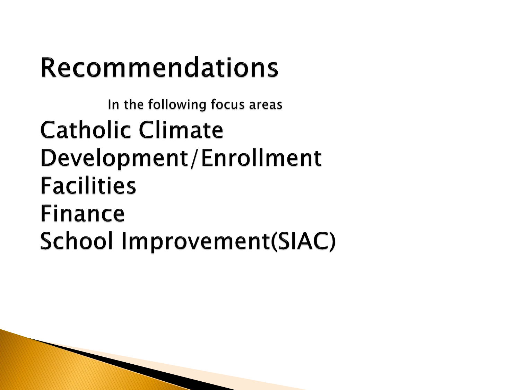# Recommendations

In the following focus areas **Catholic Climate** Development/Enrollment **Facilities** Finance **School Improvement(SIAC)**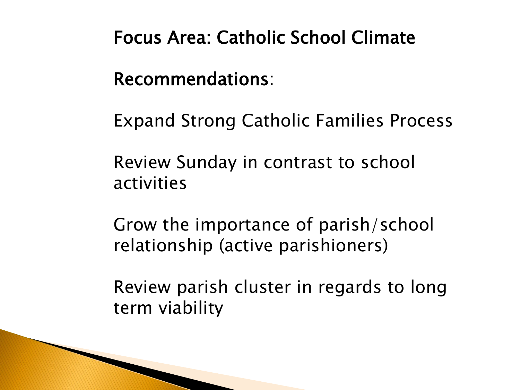Focus Area: Catholic School Climate

Recommendations:

Expand Strong Catholic Families Process

Review Sunday in contrast to school activities

Grow the importance of parish/school relationship (active parishioners)

Review parish cluster in regards to long term viability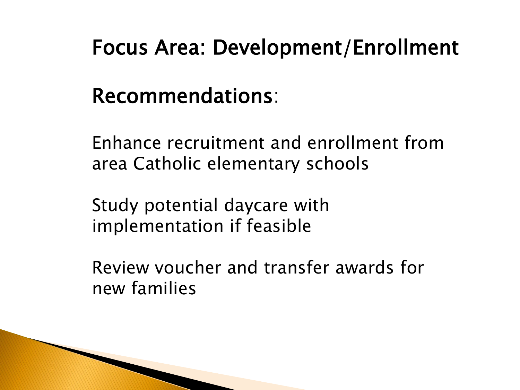## Focus Area: Development/Enrollment

## Recommendations:

Enhance recruitment and enrollment from area Catholic elementary schools

Study potential daycare with implementation if feasible

Review voucher and transfer awards for new families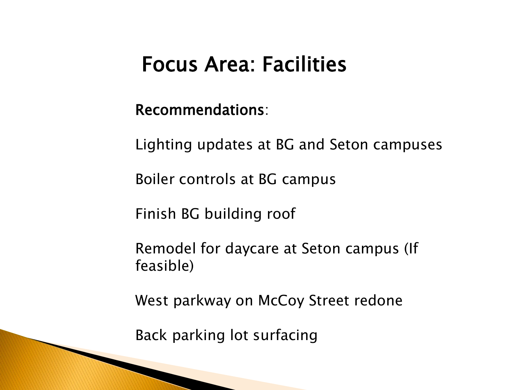#### Focus Area: Facilities

#### Recommendations:

Lighting updates at BG and Seton campuses

Boiler controls at BG campus

Finish BG building roof

Remodel for daycare at Seton campus (If feasible)

West parkway on McCoy Street redone

Back parking lot surfacing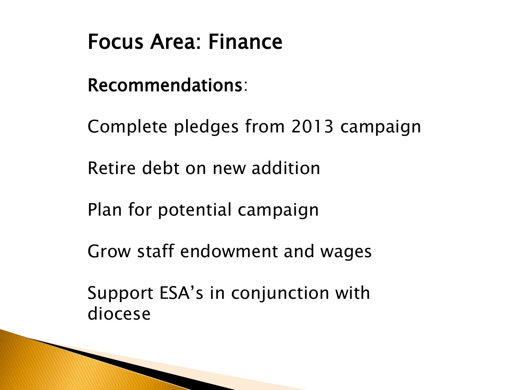# Focus Area: Finance

Recommendations:

Complete pledges from 2013 campaign

Retire debt on new addition

Plan for potential campaign

Grow staff endowment and wages

Support ESA's in conjunction with diocese